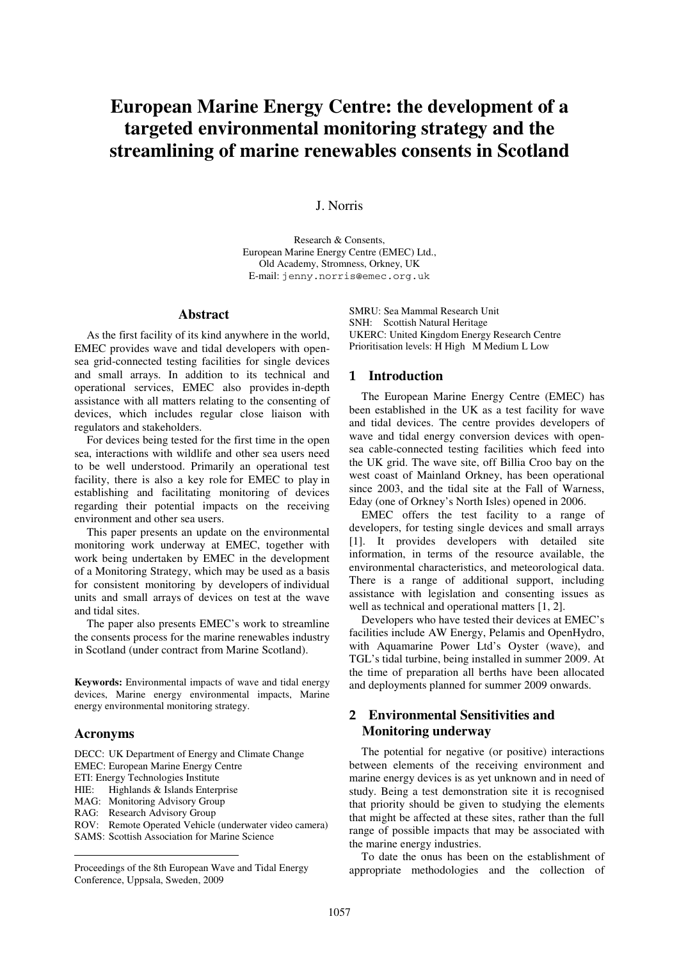# **European Marine Energy Centre: the development of a targeted environmental monitoring strategy and the streamlining of marine renewables consents in Scotland**

## J. Norris

Research & Consents, European Marine Energy Centre (EMEC) Ltd., Old Academy, Stromness, Orkney, UK E-mail: jenny.norris@emec.org.uk

#### **Abstract**

As the first facility of its kind anywhere in the world, EMEC provides wave and tidal developers with opensea grid-connected testing facilities for single devices and small arrays. In addition to its technical and operational services, EMEC also provides in-depth assistance with all matters relating to the consenting of devices, which includes regular close liaison with regulators and stakeholders.

For devices being tested for the first time in the open sea, interactions with wildlife and other sea users need to be well understood. Primarily an operational test facility, there is also a key role for EMEC to play in establishing and facilitating monitoring of devices regarding their potential impacts on the receiving environment and other sea users.

This paper presents an update on the environmental monitoring work underway at EMEC, together with work being undertaken by EMEC in the development of a Monitoring Strategy, which may be used as a basis for consistent monitoring by developers of individual units and small arrays of devices on test at the wave and tidal sites.

The paper also presents EMEC's work to streamline the consents process for the marine renewables industry in Scotland (under contract from Marine Scotland).

**Keywords:** Environmental impacts of wave and tidal energy devices, Marine energy environmental impacts, Marine energy environmental monitoring strategy.

#### **Acronyms**

<u>.</u>

DECC: UK Department of Energy and Climate Change EMEC: European Marine Energy Centre ETI: Energy Technologies Institute HIE: Highlands & Islands Enterprise MAG: Monitoring Advisory Group RAG: Research Advisory Group ROV: Remote Operated Vehicle (underwater video camera) SAMS: Scottish Association for Marine Science

Proceedings of the 8th European Wave and Tidal Energy Conference, Uppsala, Sweden, 2009

SMRU: Sea Mammal Research Unit SNH: Scottish Natural Heritage UKERC: United Kingdom Energy Research Centre Prioritisation levels: H High M Medium L Low

#### 1 **Introduction**

The European Marine Energy Centre (EMEC) has been established in the UK as a test facility for wave and tidal devices. The centre provides developers of wave and tidal energy conversion devices with opensea cable-connected testing facilities which feed into the UK grid. The wave site, off Billia Croo bay on the west coast of Mainland Orkney, has been operational since 2003, and the tidal site at the Fall of Warness, Eday (one of Orkney's North Isles) opened in 2006.

EMEC offers the test facility to a range of developers, for testing single devices and small arrays [1]. It provides developers with detailed site information, in terms of the resource available, the environmental characteristics, and meteorological data. There is a range of additional support, including assistance with legislation and consenting issues as well as technical and operational matters [1, 2].

Developers who have tested their devices at EMEC's facilities include AW Energy, Pelamis and OpenHydro, with Aquamarine Power Ltd's Oyster (wave), and TGL's tidal turbine, being installed in summer 2009. At the time of preparation all berths have been allocated and deployments planned for summer 2009 onwards.

# 2 **Environmental Sensitivities and Monitoring underway**

The potential for negative (or positive) interactions between elements of the receiving environment and marine energy devices is as yet unknown and in need of study. Being a test demonstration site it is recognised that priority should be given to studying the elements that might be affected at these sites, rather than the full range of possible impacts that may be associated with the marine energy industries.

To date the onus has been on the establishment of appropriate methodologies and the collection of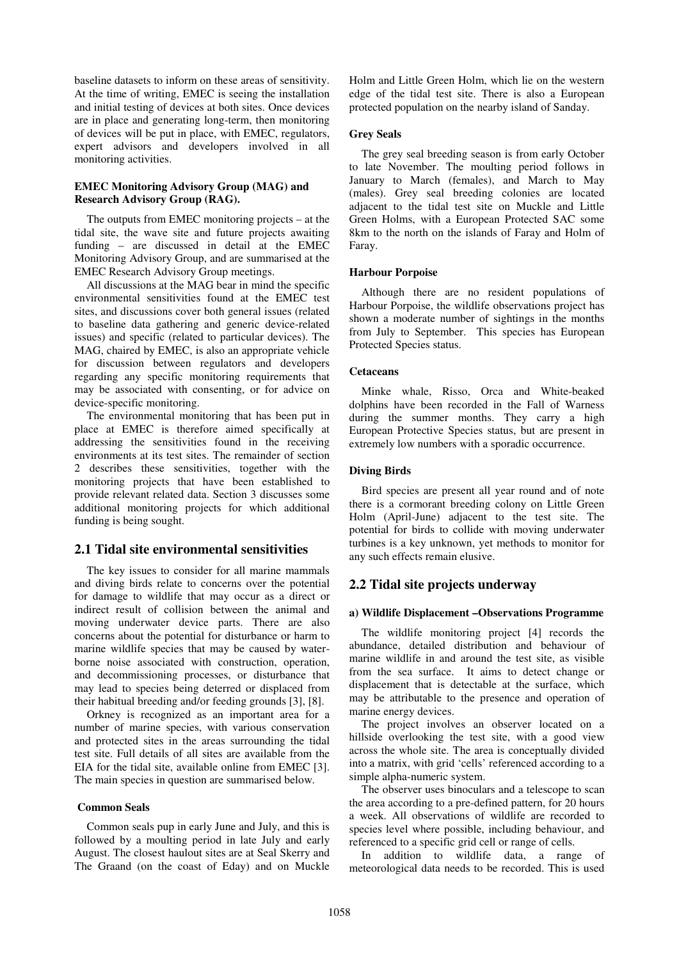baseline datasets to inform on these areas of sensitivity. At the time of writing, EMEC is seeing the installation and initial testing of devices at both sites. Once devices are in place and generating long-term, then monitoring of devices will be put in place, with EMEC, regulators, expert advisors and developers involved in all monitoring activities.

#### **EMEC Monitoring Advisory Group (MAG) and Research Advisory Group (RAG).**

The outputs from EMEC monitoring projects – at the tidal site, the wave site and future projects awaiting funding – are discussed in detail at the EMEC Monitoring Advisory Group, and are summarised at the EMEC Research Advisory Group meetings.

All discussions at the MAG bear in mind the specific environmental sensitivities found at the EMEC test sites, and discussions cover both general issues (related to baseline data gathering and generic device-related issues) and specific (related to particular devices). The MAG, chaired by EMEC, is also an appropriate vehicle for discussion between regulators and developers regarding any specific monitoring requirements that may be associated with consenting, or for advice on device-specific monitoring.

The environmental monitoring that has been put in place at EMEC is therefore aimed specifically at addressing the sensitivities found in the receiving environments at its test sites. The remainder of section 2 describes these sensitivities, together with the monitoring projects that have been established to provide relevant related data. Section 3 discusses some additional monitoring projects for which additional funding is being sought.

## **2.1 Tidal site environmental sensitivities**

The key issues to consider for all marine mammals and diving birds relate to concerns over the potential for damage to wildlife that may occur as a direct or indirect result of collision between the animal and moving underwater device parts. There are also concerns about the potential for disturbance or harm to marine wildlife species that may be caused by waterborne noise associated with construction, operation, and decommissioning processes, or disturbance that may lead to species being deterred or displaced from their habitual breeding and/or feeding grounds [3], [8].

Orkney is recognized as an important area for a number of marine species, with various conservation and protected sites in the areas surrounding the tidal test site. Full details of all sites are available from the EIA for the tidal site, available online from EMEC [3]. The main species in question are summarised below.

## **Common Seals**

Common seals pup in early June and July, and this is followed by a moulting period in late July and early August. The closest haulout sites are at Seal Skerry and The Graand (on the coast of Eday) and on Muckle Holm and Little Green Holm, which lie on the western edge of the tidal test site. There is also a European protected population on the nearby island of Sanday.

#### **Grey Seals**

The grey seal breeding season is from early October to late November. The moulting period follows in January to March (females), and March to May (males). Grey seal breeding colonies are located adjacent to the tidal test site on Muckle and Little Green Holms, with a European Protected SAC some 8km to the north on the islands of Faray and Holm of Faray.

#### **Harbour Porpoise**

Although there are no resident populations of Harbour Porpoise, the wildlife observations project has shown a moderate number of sightings in the months from July to September. This species has European Protected Species status.

### **Cetaceans**

Minke whale, Risso, Orca and White-beaked dolphins have been recorded in the Fall of Warness during the summer months. They carry a high European Protective Species status, but are present in extremely low numbers with a sporadic occurrence.

### **Diving Birds**

Bird species are present all year round and of note there is a cormorant breeding colony on Little Green Holm (April-June) adjacent to the test site. The potential for birds to collide with moving underwater turbines is a key unknown, yet methods to monitor for any such effects remain elusive.

## **2.2 Tidal site projects underway**

#### **a) Wildlife Displacement –Observations Programme**

The wildlife monitoring project [4] records the abundance, detailed distribution and behaviour of marine wildlife in and around the test site, as visible from the sea surface. It aims to detect change or displacement that is detectable at the surface, which may be attributable to the presence and operation of marine energy devices.

The project involves an observer located on a hillside overlooking the test site, with a good view across the whole site. The area is conceptually divided into a matrix, with grid 'cells' referenced according to a simple alpha-numeric system.

The observer uses binoculars and a telescope to scan the area according to a pre-defined pattern, for 20 hours a week. All observations of wildlife are recorded to species level where possible, including behaviour, and referenced to a specific grid cell or range of cells.

In addition to wildlife data, a range of meteorological data needs to be recorded. This is used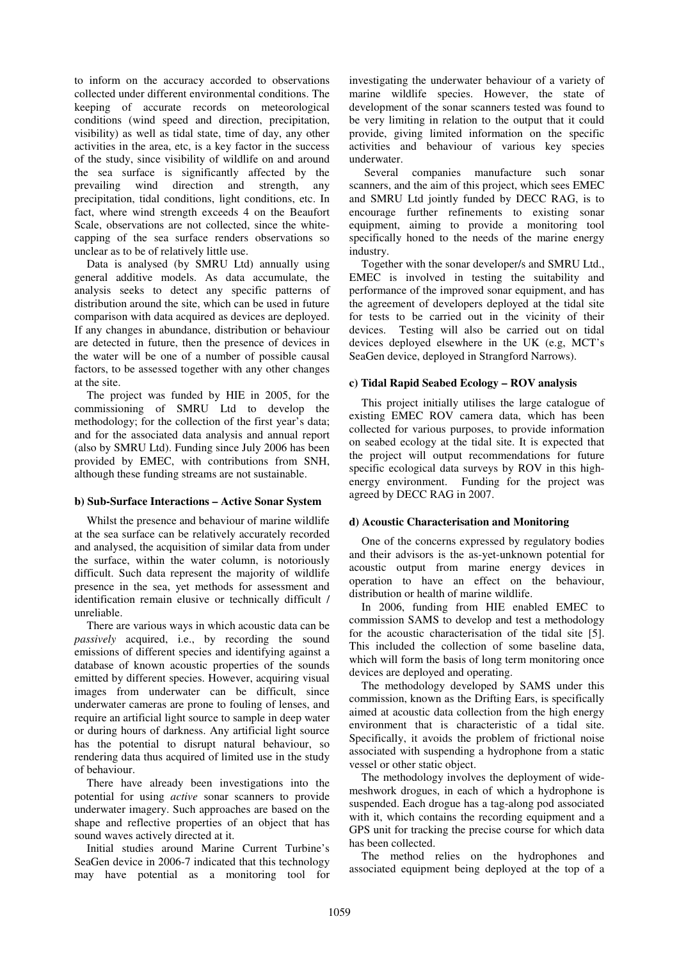to inform on the accuracy accorded to observations collected under different environmental conditions. The keeping of accurate records on meteorological conditions (wind speed and direction, precipitation, visibility) as well as tidal state, time of day, any other activities in the area, etc, is a key factor in the success of the study, since visibility of wildlife on and around the sea surface is significantly affected by the prevailing wind direction and strength, any precipitation, tidal conditions, light conditions, etc. In fact, where wind strength exceeds 4 on the Beaufort Scale, observations are not collected, since the whitecapping of the sea surface renders observations so unclear as to be of relatively little use.

Data is analysed (by SMRU Ltd) annually using general additive models. As data accumulate, the analysis seeks to detect any specific patterns of distribution around the site, which can be used in future comparison with data acquired as devices are deployed. If any changes in abundance, distribution or behaviour are detected in future, then the presence of devices in the water will be one of a number of possible causal factors, to be assessed together with any other changes at the site.

The project was funded by HIE in 2005, for the commissioning of SMRU Ltd to develop the methodology; for the collection of the first year's data; and for the associated data analysis and annual report (also by SMRU Ltd). Funding since July 2006 has been provided by EMEC, with contributions from SNH, although these funding streams are not sustainable.

#### **b) Sub-Surface Interactions – Active Sonar System**

Whilst the presence and behaviour of marine wildlife at the sea surface can be relatively accurately recorded and analysed, the acquisition of similar data from under the surface, within the water column, is notoriously difficult. Such data represent the majority of wildlife presence in the sea, yet methods for assessment and identification remain elusive or technically difficult / unreliable.

There are various ways in which acoustic data can be *passively* acquired, i.e., by recording the sound emissions of different species and identifying against a database of known acoustic properties of the sounds emitted by different species. However, acquiring visual images from underwater can be difficult, since underwater cameras are prone to fouling of lenses, and require an artificial light source to sample in deep water or during hours of darkness. Any artificial light source has the potential to disrupt natural behaviour, so rendering data thus acquired of limited use in the study of behaviour.

There have already been investigations into the potential for using *active* sonar scanners to provide underwater imagery. Such approaches are based on the shape and reflective properties of an object that has sound waves actively directed at it.

Initial studies around Marine Current Turbine's SeaGen device in 2006-7 indicated that this technology may have potential as a monitoring tool for investigating the underwater behaviour of a variety of marine wildlife species. However, the state of development of the sonar scanners tested was found to be very limiting in relation to the output that it could provide, giving limited information on the specific activities and behaviour of various key species underwater.

 Several companies manufacture such sonar scanners, and the aim of this project, which sees EMEC and SMRU Ltd jointly funded by DECC RAG, is to encourage further refinements to existing sonar equipment, aiming to provide a monitoring tool specifically honed to the needs of the marine energy industry.

Together with the sonar developer/s and SMRU Ltd., EMEC is involved in testing the suitability and performance of the improved sonar equipment, and has the agreement of developers deployed at the tidal site for tests to be carried out in the vicinity of their devices. Testing will also be carried out on tidal devices deployed elsewhere in the UK (e.g, MCT's SeaGen device, deployed in Strangford Narrows).

## **c) Tidal Rapid Seabed Ecology – ROV analysis**

This project initially utilises the large catalogue of existing EMEC ROV camera data, which has been collected for various purposes, to provide information on seabed ecology at the tidal site. It is expected that the project will output recommendations for future specific ecological data surveys by ROV in this highenergy environment. Funding for the project was agreed by DECC RAG in 2007.

## **d) Acoustic Characterisation and Monitoring**

One of the concerns expressed by regulatory bodies and their advisors is the as-yet-unknown potential for acoustic output from marine energy devices in operation to have an effect on the behaviour, distribution or health of marine wildlife.

In 2006, funding from HIE enabled EMEC to commission SAMS to develop and test a methodology for the acoustic characterisation of the tidal site [5]. This included the collection of some baseline data, which will form the basis of long term monitoring once devices are deployed and operating.

The methodology developed by SAMS under this commission, known as the Drifting Ears, is specifically aimed at acoustic data collection from the high energy environment that is characteristic of a tidal site. Specifically, it avoids the problem of frictional noise associated with suspending a hydrophone from a static vessel or other static object.

The methodology involves the deployment of widemeshwork drogues, in each of which a hydrophone is suspended. Each drogue has a tag-along pod associated with it, which contains the recording equipment and a GPS unit for tracking the precise course for which data has been collected.

The method relies on the hydrophones and associated equipment being deployed at the top of a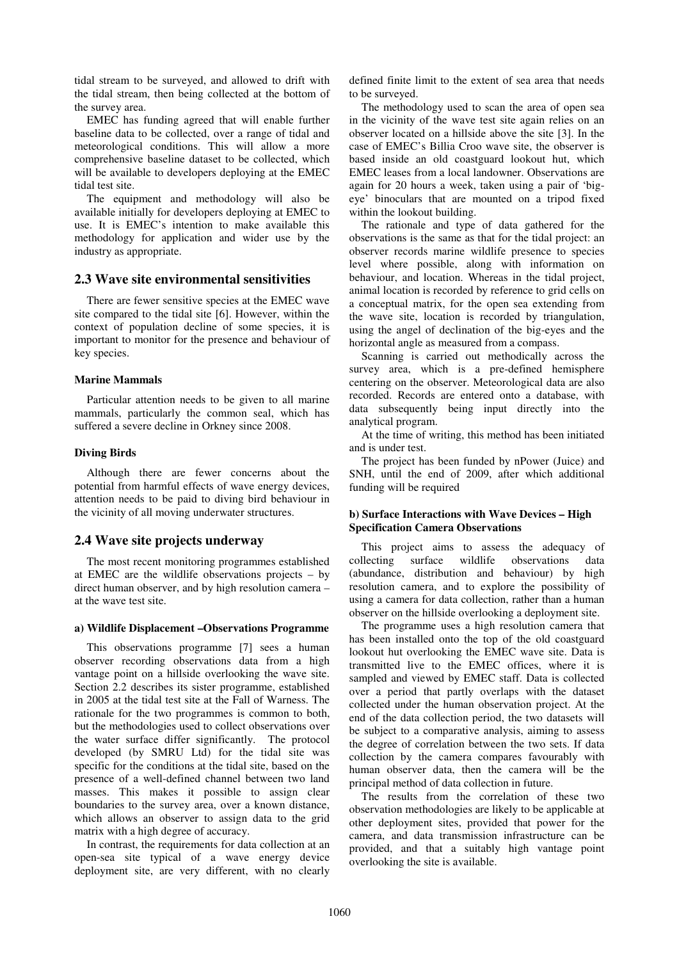tidal stream to be surveyed, and allowed to drift with the tidal stream, then being collected at the bottom of the survey area.

EMEC has funding agreed that will enable further baseline data to be collected, over a range of tidal and meteorological conditions. This will allow a more comprehensive baseline dataset to be collected, which will be available to developers deploying at the EMEC tidal test site.

The equipment and methodology will also be available initially for developers deploying at EMEC to use. It is EMEC's intention to make available this methodology for application and wider use by the industry as appropriate.

## **2.3 Wave site environmental sensitivities**

There are fewer sensitive species at the EMEC wave site compared to the tidal site [6]. However, within the context of population decline of some species, it is important to monitor for the presence and behaviour of key species.

#### **Marine Mammals**

Particular attention needs to be given to all marine mammals, particularly the common seal, which has suffered a severe decline in Orkney since 2008.

#### **Diving Birds**

Although there are fewer concerns about the potential from harmful effects of wave energy devices, attention needs to be paid to diving bird behaviour in the vicinity of all moving underwater structures.

## **2.4 Wave site projects underway**

The most recent monitoring programmes established at EMEC are the wildlife observations projects – by direct human observer, and by high resolution camera – at the wave test site.

#### **a) Wildlife Displacement –Observations Programme**

This observations programme [7] sees a human observer recording observations data from a high vantage point on a hillside overlooking the wave site. Section 2.2 describes its sister programme, established in 2005 at the tidal test site at the Fall of Warness. The rationale for the two programmes is common to both, but the methodologies used to collect observations over the water surface differ significantly. The protocol developed (by SMRU Ltd) for the tidal site was specific for the conditions at the tidal site, based on the presence of a well-defined channel between two land masses. This makes it possible to assign clear boundaries to the survey area, over a known distance, which allows an observer to assign data to the grid matrix with a high degree of accuracy.

In contrast, the requirements for data collection at an open-sea site typical of a wave energy device deployment site, are very different, with no clearly

defined finite limit to the extent of sea area that needs to be surveyed.

The methodology used to scan the area of open sea in the vicinity of the wave test site again relies on an observer located on a hillside above the site [3]. In the case of EMEC's Billia Croo wave site, the observer is based inside an old coastguard lookout hut, which EMEC leases from a local landowner. Observations are again for 20 hours a week, taken using a pair of 'bigeye' binoculars that are mounted on a tripod fixed within the lookout building.

The rationale and type of data gathered for the observations is the same as that for the tidal project: an observer records marine wildlife presence to species level where possible, along with information on behaviour, and location. Whereas in the tidal project, animal location is recorded by reference to grid cells on a conceptual matrix, for the open sea extending from the wave site, location is recorded by triangulation, using the angel of declination of the big-eyes and the horizontal angle as measured from a compass.

Scanning is carried out methodically across the survey area, which is a pre-defined hemisphere centering on the observer. Meteorological data are also recorded. Records are entered onto a database, with data subsequently being input directly into the analytical program.

At the time of writing, this method has been initiated and is under test.

The project has been funded by nPower (Juice) and SNH, until the end of 2009, after which additional funding will be required

## **b) Surface Interactions with Wave Devices – High Specification Camera Observations**

This project aims to assess the adequacy of collecting surface wildlife observations data (abundance, distribution and behaviour) by high resolution camera, and to explore the possibility of using a camera for data collection, rather than a human observer on the hillside overlooking a deployment site.

The programme uses a high resolution camera that has been installed onto the top of the old coastguard lookout hut overlooking the EMEC wave site. Data is transmitted live to the EMEC offices, where it is sampled and viewed by EMEC staff. Data is collected over a period that partly overlaps with the dataset collected under the human observation project. At the end of the data collection period, the two datasets will be subject to a comparative analysis, aiming to assess the degree of correlation between the two sets. If data collection by the camera compares favourably with human observer data, then the camera will be the principal method of data collection in future.

The results from the correlation of these two observation methodologies are likely to be applicable at other deployment sites, provided that power for the camera, and data transmission infrastructure can be provided, and that a suitably high vantage point overlooking the site is available.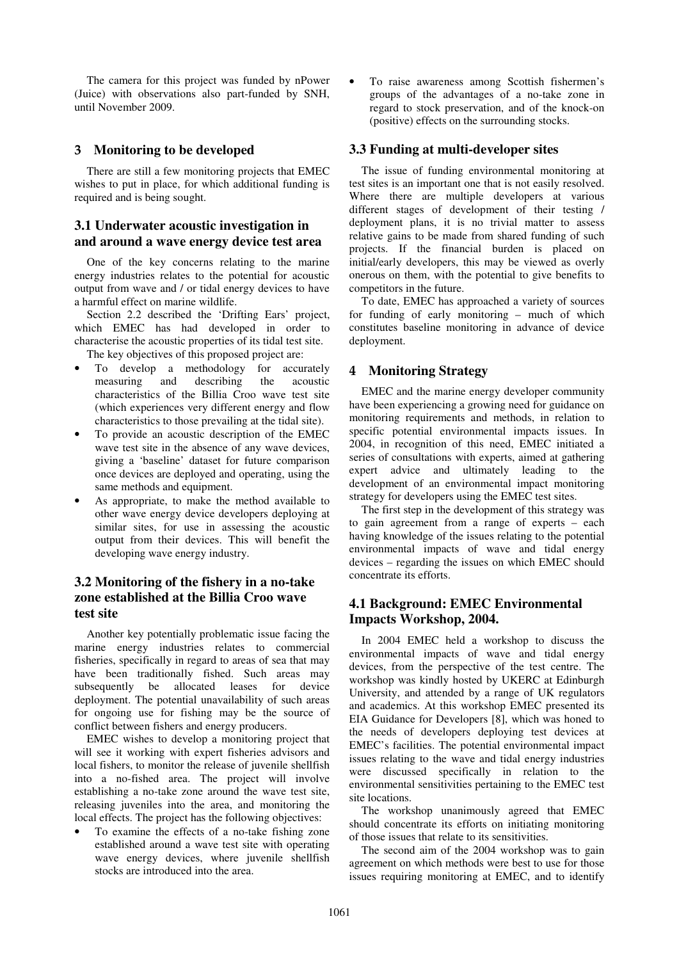The camera for this project was funded by nPower (Juice) with observations also part-funded by SNH, until November 2009.

# 3 **Monitoring to be developed**

There are still a few monitoring projects that EMEC wishes to put in place, for which additional funding is required and is being sought.

# **3.1 Underwater acoustic investigation in and around a wave energy device test area**

One of the key concerns relating to the marine energy industries relates to the potential for acoustic output from wave and / or tidal energy devices to have a harmful effect on marine wildlife.

Section 2.2 described the 'Drifting Ears' project, which EMEC has had developed in order to characterise the acoustic properties of its tidal test site.

The key objectives of this proposed project are:

- To develop a methodology for accurately measuring and describing the acoustic characteristics of the Billia Croo wave test site (which experiences very different energy and flow characteristics to those prevailing at the tidal site).
- To provide an acoustic description of the EMEC wave test site in the absence of any wave devices, giving a 'baseline' dataset for future comparison once devices are deployed and operating, using the same methods and equipment.
- As appropriate, to make the method available to other wave energy device developers deploying at similar sites, for use in assessing the acoustic output from their devices. This will benefit the developing wave energy industry.

# **3.2 Monitoring of the fishery in a no-take zone established at the Billia Croo wave test site**

Another key potentially problematic issue facing the marine energy industries relates to commercial fisheries, specifically in regard to areas of sea that may have been traditionally fished. Such areas may subsequently be allocated leases for device deployment. The potential unavailability of such areas for ongoing use for fishing may be the source of conflict between fishers and energy producers.

EMEC wishes to develop a monitoring project that will see it working with expert fisheries advisors and local fishers, to monitor the release of juvenile shellfish into a no-fished area. The project will involve establishing a no-take zone around the wave test site, releasing juveniles into the area, and monitoring the local effects. The project has the following objectives:

• To examine the effects of a no-take fishing zone established around a wave test site with operating wave energy devices, where juvenile shellfish stocks are introduced into the area.

To raise awareness among Scottish fishermen's groups of the advantages of a no-take zone in regard to stock preservation, and of the knock-on (positive) effects on the surrounding stocks.

## **3.3 Funding at multi-developer sites**

The issue of funding environmental monitoring at test sites is an important one that is not easily resolved. Where there are multiple developers at various different stages of development of their testing / deployment plans, it is no trivial matter to assess relative gains to be made from shared funding of such projects. If the financial burden is placed on initial/early developers, this may be viewed as overly onerous on them, with the potential to give benefits to competitors in the future.

To date, EMEC has approached a variety of sources for funding of early monitoring – much of which constitutes baseline monitoring in advance of device deployment.

## 4 **Monitoring Strategy**

EMEC and the marine energy developer community have been experiencing a growing need for guidance on monitoring requirements and methods, in relation to specific potential environmental impacts issues. In 2004, in recognition of this need, EMEC initiated a series of consultations with experts, aimed at gathering expert advice and ultimately leading to the development of an environmental impact monitoring strategy for developers using the EMEC test sites.

The first step in the development of this strategy was to gain agreement from a range of experts – each having knowledge of the issues relating to the potential environmental impacts of wave and tidal energy devices – regarding the issues on which EMEC should concentrate its efforts.

# **4.1 Background: EMEC Environmental Impacts Workshop, 2004.**

In 2004 EMEC held a workshop to discuss the environmental impacts of wave and tidal energy devices, from the perspective of the test centre. The workshop was kindly hosted by UKERC at Edinburgh University, and attended by a range of UK regulators and academics. At this workshop EMEC presented its EIA Guidance for Developers [8], which was honed to the needs of developers deploying test devices at EMEC's facilities. The potential environmental impact issues relating to the wave and tidal energy industries were discussed specifically in relation to the environmental sensitivities pertaining to the EMEC test site locations.

The workshop unanimously agreed that EMEC should concentrate its efforts on initiating monitoring of those issues that relate to its sensitivities.

The second aim of the 2004 workshop was to gain agreement on which methods were best to use for those issues requiring monitoring at EMEC, and to identify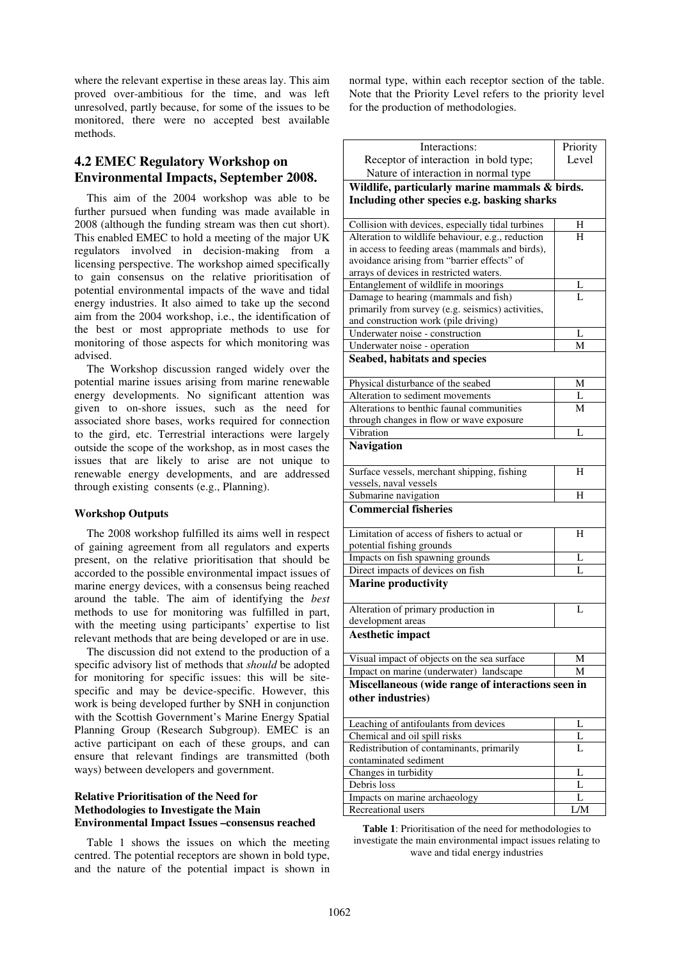where the relevant expertise in these areas lay. This aim proved over-ambitious for the time, and was left unresolved, partly because, for some of the issues to be monitored, there were no accepted best available methods.

# **4.2 EMEC Regulatory Workshop on Environmental Impacts, September 2008.**

This aim of the 2004 workshop was able to be further pursued when funding was made available in 2008 (although the funding stream was then cut short). This enabled EMEC to hold a meeting of the major UK regulators involved in decision-making from a licensing perspective. The workshop aimed specifically to gain consensus on the relative prioritisation of potential environmental impacts of the wave and tidal energy industries. It also aimed to take up the second aim from the 2004 workshop, i.e., the identification of the best or most appropriate methods to use for monitoring of those aspects for which monitoring was advised.

The Workshop discussion ranged widely over the potential marine issues arising from marine renewable energy developments. No significant attention was given to on-shore issues, such as the need for associated shore bases, works required for connection to the gird, etc. Terrestrial interactions were largely outside the scope of the workshop, as in most cases the issues that are likely to arise are not unique to renewable energy developments, and are addressed through existing consents (e.g., Planning).

#### **Workshop Outputs**

The 2008 workshop fulfilled its aims well in respect of gaining agreement from all regulators and experts present, on the relative prioritisation that should be accorded to the possible environmental impact issues of marine energy devices, with a consensus being reached around the table. The aim of identifying the *best* methods to use for monitoring was fulfilled in part, with the meeting using participants' expertise to list relevant methods that are being developed or are in use.

The discussion did not extend to the production of a specific advisory list of methods that *should* be adopted for monitoring for specific issues: this will be sitespecific and may be device-specific. However, this work is being developed further by SNH in conjunction with the Scottish Government's Marine Energy Spatial Planning Group (Research Subgroup). EMEC is an active participant on each of these groups, and can ensure that relevant findings are transmitted (both ways) between developers and government.

### **Relative Prioritisation of the Need for Methodologies to Investigate the Main Environmental Impact Issues –consensus reached**

Table 1 shows the issues on which the meeting centred. The potential receptors are shown in bold type, and the nature of the potential impact is shown in normal type, within each receptor section of the table. Note that the Priority Level refers to the priority level for the production of methodologies.

| Interactions:                                     | Priority |  |
|---------------------------------------------------|----------|--|
| Receptor of interaction in bold type;             | Level    |  |
| Nature of interaction in normal type              |          |  |
| Wildlife, particularly marine mammals & birds.    |          |  |
| Including other species e.g. basking sharks       |          |  |
|                                                   |          |  |
| Collision with devices, especially tidal turbines | Н        |  |
| Alteration to wildlife behaviour, e.g., reduction | H        |  |
| in access to feeding areas (mammals and birds),   |          |  |
| avoidance arising from "barrier effects" of       |          |  |
| arrays of devices in restricted waters.           |          |  |
| Entanglement of wildlife in moorings              | L        |  |
| Damage to hearing (mammals and fish)              | Ī.       |  |
| primarily from survey (e.g. seismics) activities, |          |  |
| and construction work (pile driving)              |          |  |
| Underwater noise - construction                   | L        |  |
| Underwater noise - operation                      | М        |  |
| Seabed, habitats and species                      |          |  |
| Physical disturbance of the seabed                | М        |  |
| Alteration to sediment movements                  | L        |  |
| Alterations to benthic faunal communities         | M        |  |
| through changes in flow or wave exposure          |          |  |
| Vibration                                         | L        |  |
| <b>Navigation</b>                                 |          |  |
|                                                   |          |  |
| Surface vessels, merchant shipping, fishing       | H        |  |
| vessels, naval vessels                            |          |  |
| Submarine navigation                              | H        |  |
| <b>Commercial fisheries</b>                       |          |  |
| Limitation of access of fishers to actual or      | Н        |  |
| potential fishing grounds                         |          |  |
| Impacts on fish spawning grounds                  | L        |  |
| Direct impacts of devices on fish                 | L        |  |
| <b>Marine productivity</b>                        |          |  |
|                                                   |          |  |
| Alteration of primary production in               | L        |  |
| development areas                                 |          |  |
| <b>Aesthetic impact</b>                           |          |  |
| Visual impact of objects on the sea surface       | Μ        |  |
| Impact on marine (underwater) landscape           | М        |  |
| Miscellaneous (wide range of interactions seen in |          |  |
| other industries)                                 |          |  |
| Leaching of antifoulants from devices             | L        |  |
| Chemical and oil spill risks                      | L        |  |
| Redistribution of contaminants, primarily         | L        |  |
| contaminated sediment                             |          |  |
| Changes in turbidity                              | L        |  |
| Debris loss                                       | L        |  |
| Impacts on marine archaeology                     | L        |  |
| Recreational users                                | L/M      |  |

**Table 1**: Prioritisation of the need for methodologies to investigate the main environmental impact issues relating to wave and tidal energy industries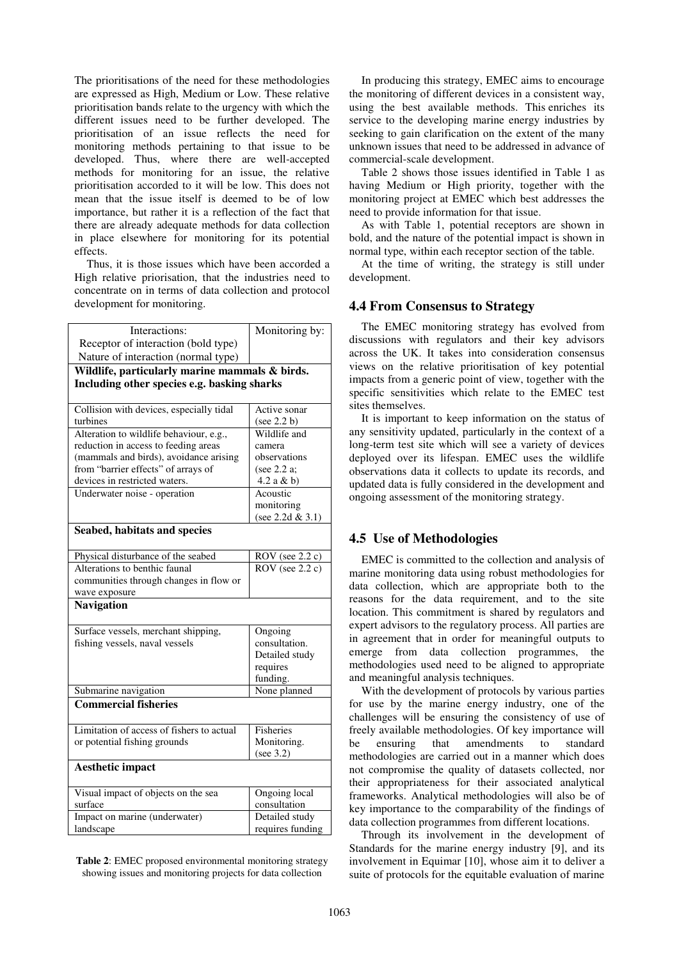The prioritisations of the need for these methodologies are expressed as High, Medium or Low. These relative prioritisation bands relate to the urgency with which the different issues need to be further developed. The prioritisation of an issue reflects the need for monitoring methods pertaining to that issue to be developed. Thus, where there are well-accepted methods for monitoring for an issue, the relative prioritisation accorded to it will be low. This does not mean that the issue itself is deemed to be of low importance, but rather it is a reflection of the fact that there are already adequate methods for data collection in place elsewhere for monitoring for its potential effects.

Thus, it is those issues which have been accorded a High relative priorisation, that the industries need to concentrate on in terms of data collection and protocol development for monitoring.

| Interactions:                                  | Monitoring by:    |  |
|------------------------------------------------|-------------------|--|
| Receptor of interaction (bold type)            |                   |  |
| Nature of interaction (normal type)            |                   |  |
| Wildlife, particularly marine mammals & birds. |                   |  |
| Including other species e.g. basking sharks    |                   |  |
|                                                |                   |  |
| Collision with devices, especially tidal       | Active sonar      |  |
| turbines                                       | (see 2.2 b)       |  |
| Alteration to wildlife behaviour, e.g.,        | Wildlife and      |  |
| reduction in access to feeding areas           | camera            |  |
| (mammals and birds), avoidance arising         | observations      |  |
| from "barrier effects" of arrays of            | (see 2.2 a;       |  |
| devices in restricted waters.                  | $4.2$ a & b)      |  |
| Underwater noise - operation                   | Acoustic          |  |
|                                                | monitoring        |  |
|                                                | (see 2.2d & 3.1)  |  |
| Seabed, habitats and species                   |                   |  |
|                                                |                   |  |
| Physical disturbance of the seabed             | ROV (see 2.2 c)   |  |
| Alterations to benthic faunal                  | $ROV$ (see 2.2 c) |  |
| communities through changes in flow or         |                   |  |
| wave exposure                                  |                   |  |
| <b>Navigation</b>                              |                   |  |
|                                                |                   |  |
| Surface vessels, merchant shipping,            | Ongoing           |  |
| fishing vessels, naval vessels                 | consultation.     |  |
|                                                | Detailed study    |  |
|                                                | requires          |  |
|                                                | funding.          |  |
| Submarine navigation                           | None planned      |  |
| <b>Commercial fisheries</b>                    |                   |  |
|                                                |                   |  |
| Limitation of access of fishers to actual      | <b>Fisheries</b>  |  |
| or potential fishing grounds                   | Monitoring.       |  |
|                                                | (see 3.2)         |  |
| <b>Aesthetic impact</b>                        |                   |  |
|                                                |                   |  |
| Visual impact of objects on the sea            | Ongoing local     |  |
| surface                                        | consultation      |  |
| Impact on marine (underwater)                  | Detailed study    |  |
| landscape                                      | requires funding  |  |

**Table 2**: EMEC proposed environmental monitoring strategy showing issues and monitoring projects for data collection

In producing this strategy, EMEC aims to encourage the monitoring of different devices in a consistent way, using the best available methods. This enriches its service to the developing marine energy industries by seeking to gain clarification on the extent of the many unknown issues that need to be addressed in advance of commercial-scale development.

Table 2 shows those issues identified in Table 1 as having Medium or High priority, together with the monitoring project at EMEC which best addresses the need to provide information for that issue.

As with Table 1, potential receptors are shown in bold, and the nature of the potential impact is shown in normal type, within each receptor section of the table.

At the time of writing, the strategy is still under development.

## **4.4 From Consensus to Strategy**

The EMEC monitoring strategy has evolved from discussions with regulators and their key advisors across the UK. It takes into consideration consensus views on the relative prioritisation of key potential impacts from a generic point of view, together with the specific sensitivities which relate to the EMEC test sites themselves.

It is important to keep information on the status of any sensitivity updated, particularly in the context of a long-term test site which will see a variety of devices deployed over its lifespan. EMEC uses the wildlife observations data it collects to update its records, and updated data is fully considered in the development and ongoing assessment of the monitoring strategy.

## **4.5 Use of Methodologies**

EMEC is committed to the collection and analysis of marine monitoring data using robust methodologies for data collection, which are appropriate both to the reasons for the data requirement, and to the site location. This commitment is shared by regulators and expert advisors to the regulatory process. All parties are in agreement that in order for meaningful outputs to emerge from data collection programmes, the methodologies used need to be aligned to appropriate and meaningful analysis techniques.

With the development of protocols by various parties for use by the marine energy industry, one of the challenges will be ensuring the consistency of use of freely available methodologies. Of key importance will be ensuring that amendments to standard methodologies are carried out in a manner which does not compromise the quality of datasets collected, nor their appropriateness for their associated analytical frameworks. Analytical methodologies will also be of key importance to the comparability of the findings of data collection programmes from different locations.

Through its involvement in the development of Standards for the marine energy industry [9], and its involvement in Equimar [10], whose aim it to deliver a suite of protocols for the equitable evaluation of marine